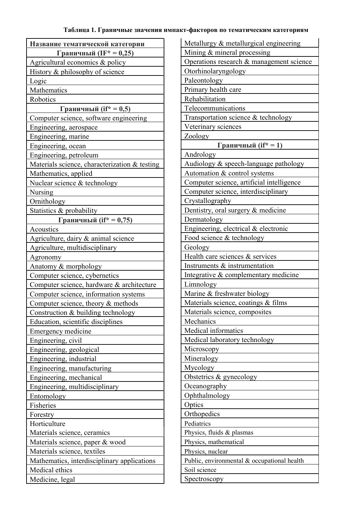## Таблица 1. Граничные значения импакт-факторов по тематическим категориям

| Название тематической категории               |
|-----------------------------------------------|
| Граничный (IF* = 0,25)                        |
| Agricultural economics & policy               |
| History & philosophy of science               |
| Logic                                         |
| Mathematics                                   |
| Robotics                                      |
| Граничный (if* = 0,5)                         |
| Computer science, software engineering        |
| Engineering, aerospace                        |
| Engineering, marine                           |
| Engineering, ocean                            |
| Engineering, petroleum                        |
| Materials science, characterization & testing |
| Mathematics, applied                          |
| Nuclear science & technology                  |
| Nursing                                       |
| Ornithology                                   |
| Statistics & probability                      |
| <u>Граничный (if* = 0,75)</u>                 |
| Acoustics                                     |
| Agriculture, dairy & animal science           |
| Agriculture, multidisciplinary                |
| Agronomy                                      |
| Anatomy & morphology                          |
| Computer science, cybernetics                 |
| Computer science, hardware & architecture     |
| Computer science, information systems         |
| Computer science, theory & methods            |
| Construction & building technology            |
| Education, scientific disciplines             |
| Emergency medicine                            |
| Engineering, civil                            |
| Engineering, geological                       |
| Engineering, industrial                       |
| Engineering, manufacturing                    |
| Engineering, mechanical                       |
| Engineering, multidisciplinary                |
| Entomology                                    |
| Fisheries                                     |
| Forestry                                      |
| Horticulture                                  |
| Materials science, ceramics                   |
| Materials science, paper & wood               |
| Materials science, textiles                   |
| Mathematics, interdisciplinary applications   |
| Medical ethics                                |
| Medicine, legal                               |